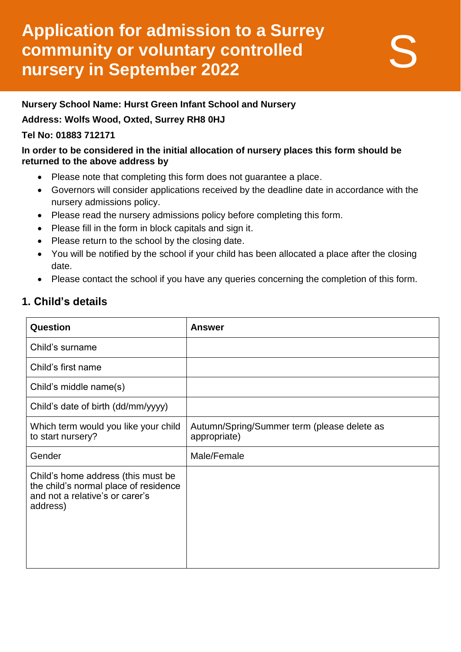# **Application for admission to a Surrey community or voluntary controlled nursery in September 2022**

#### **Nursery School Name: Hurst Green Infant School and Nursery**

#### **Address: Wolfs Wood, Oxted, Surrey RH8 0HJ**

#### **Tel No: 01883 712171**

#### **In order to be considered in the initial allocation of nursery places this form should be returned to the above address by**

- Please note that completing this form does not guarantee a place.
- Governors will consider applications received by the deadline date in accordance with the nursery admissions policy.
- Please read the nursery admissions policy before completing this form.
- Please fill in the form in block capitals and sign it.
- Please return to the school by the closing date.
- You will be notified by the school if your child has been allocated a place after the closing date.
- Please contact the school if you have any queries concerning the completion of this form.

### **1. Child's details**

| Question                                                                                                                   | <b>Answer</b>                                               |
|----------------------------------------------------------------------------------------------------------------------------|-------------------------------------------------------------|
| Child's surname                                                                                                            |                                                             |
| Child's first name                                                                                                         |                                                             |
| Child's middle name(s)                                                                                                     |                                                             |
| Child's date of birth (dd/mm/yyyy)                                                                                         |                                                             |
| Which term would you like your child<br>to start nursery?                                                                  | Autumn/Spring/Summer term (please delete as<br>appropriate) |
| Gender                                                                                                                     | Male/Female                                                 |
| Child's home address (this must be<br>the child's normal place of residence<br>and not a relative's or carer's<br>address) |                                                             |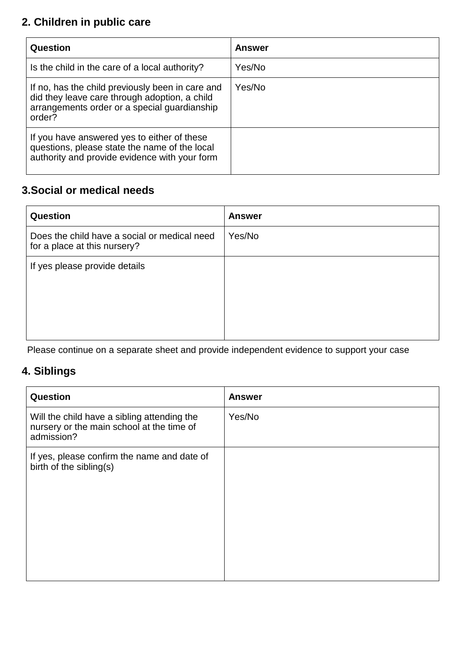## **2. Children in public care**

| Question                                                                                                                                                    | <b>Answer</b> |
|-------------------------------------------------------------------------------------------------------------------------------------------------------------|---------------|
| Is the child in the care of a local authority?                                                                                                              | Yes/No        |
| If no, has the child previously been in care and<br>did they leave care through adoption, a child<br>arrangements order or a special guardianship<br>order? | Yes/No        |
| If you have answered yes to either of these<br>questions, please state the name of the local<br>authority and provide evidence with your form               |               |

### **3.Social or medical needs**

| Question                                                                     | <b>Answer</b> |
|------------------------------------------------------------------------------|---------------|
| Does the child have a social or medical need<br>for a place at this nursery? | Yes/No        |
| If yes please provide details                                                |               |

Please continue on a separate sheet and provide independent evidence to support your case

## **4. Siblings**

| <b>Question</b>                                                                                        | <b>Answer</b> |
|--------------------------------------------------------------------------------------------------------|---------------|
| Will the child have a sibling attending the<br>nursery or the main school at the time of<br>admission? | Yes/No        |
| If yes, please confirm the name and date of<br>birth of the sibling(s)                                 |               |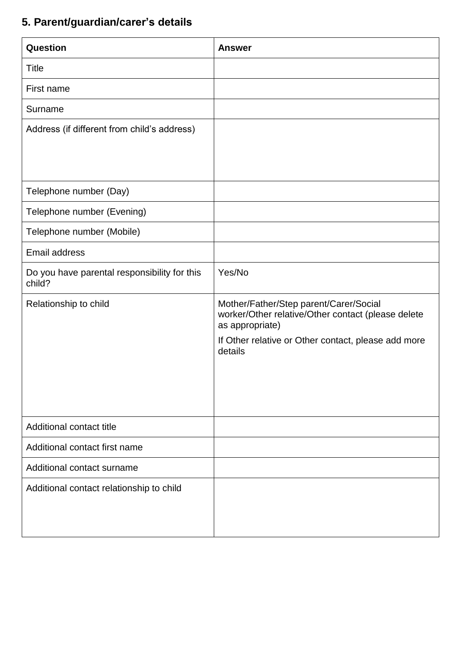# **5. Parent/guardian/carer's details**

| Question                                               | <b>Answer</b>                                                                                                                                                                     |
|--------------------------------------------------------|-----------------------------------------------------------------------------------------------------------------------------------------------------------------------------------|
| <b>Title</b>                                           |                                                                                                                                                                                   |
| First name                                             |                                                                                                                                                                                   |
| Surname                                                |                                                                                                                                                                                   |
| Address (if different from child's address)            |                                                                                                                                                                                   |
| Telephone number (Day)                                 |                                                                                                                                                                                   |
| Telephone number (Evening)                             |                                                                                                                                                                                   |
| Telephone number (Mobile)                              |                                                                                                                                                                                   |
| Email address                                          |                                                                                                                                                                                   |
| Do you have parental responsibility for this<br>child? | Yes/No                                                                                                                                                                            |
| Relationship to child                                  | Mother/Father/Step parent/Carer/Social<br>worker/Other relative/Other contact (please delete<br>as appropriate)<br>If Other relative or Other contact, please add more<br>details |
| Additional contact title                               |                                                                                                                                                                                   |
| Additional contact first name                          |                                                                                                                                                                                   |
| Additional contact surname                             |                                                                                                                                                                                   |
| Additional contact relationship to child               |                                                                                                                                                                                   |